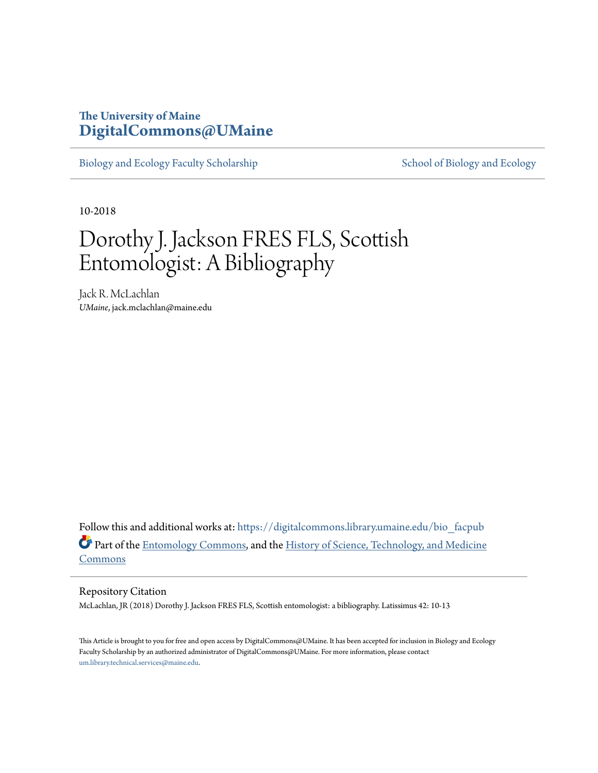### **The University of Maine [DigitalCommons@UMaine](https://digitalcommons.library.umaine.edu?utm_source=digitalcommons.library.umaine.edu%2Fbio_facpub%2F4&utm_medium=PDF&utm_campaign=PDFCoverPages)**

[Biology and Ecology Faculty Scholarship](https://digitalcommons.library.umaine.edu/bio_facpub?utm_source=digitalcommons.library.umaine.edu%2Fbio_facpub%2F4&utm_medium=PDF&utm_campaign=PDFCoverPages) [School of Biology and Ecology](https://digitalcommons.library.umaine.edu/bio?utm_source=digitalcommons.library.umaine.edu%2Fbio_facpub%2F4&utm_medium=PDF&utm_campaign=PDFCoverPages)

10-2018

## Dorothy J. Jackson FRES FLS, Scottish Entomologist: A Bibliography

Jack R. McLachlan *UMaine*, jack.mclachlan@maine.edu

Follow this and additional works at: [https://digitalcommons.library.umaine.edu/bio\\_facpub](https://digitalcommons.library.umaine.edu/bio_facpub?utm_source=digitalcommons.library.umaine.edu%2Fbio_facpub%2F4&utm_medium=PDF&utm_campaign=PDFCoverPages) Part of the [Entomology Commons,](http://network.bepress.com/hgg/discipline/83?utm_source=digitalcommons.library.umaine.edu%2Fbio_facpub%2F4&utm_medium=PDF&utm_campaign=PDFCoverPages) and the [History of Science, Technology, and Medicine](http://network.bepress.com/hgg/discipline/500?utm_source=digitalcommons.library.umaine.edu%2Fbio_facpub%2F4&utm_medium=PDF&utm_campaign=PDFCoverPages) [Commons](http://network.bepress.com/hgg/discipline/500?utm_source=digitalcommons.library.umaine.edu%2Fbio_facpub%2F4&utm_medium=PDF&utm_campaign=PDFCoverPages)

#### Repository Citation

McLachlan, JR (2018) Dorothy J. Jackson FRES FLS, Scottish entomologist: a bibliography. Latissimus 42: 10-13

This Article is brought to you for free and open access by DigitalCommons@UMaine. It has been accepted for inclusion in Biology and Ecology Faculty Scholarship by an authorized administrator of DigitalCommons@UMaine. For more information, please contact [um.library.technical.services@maine.edu](mailto:um.library.technical.services@maine.edu).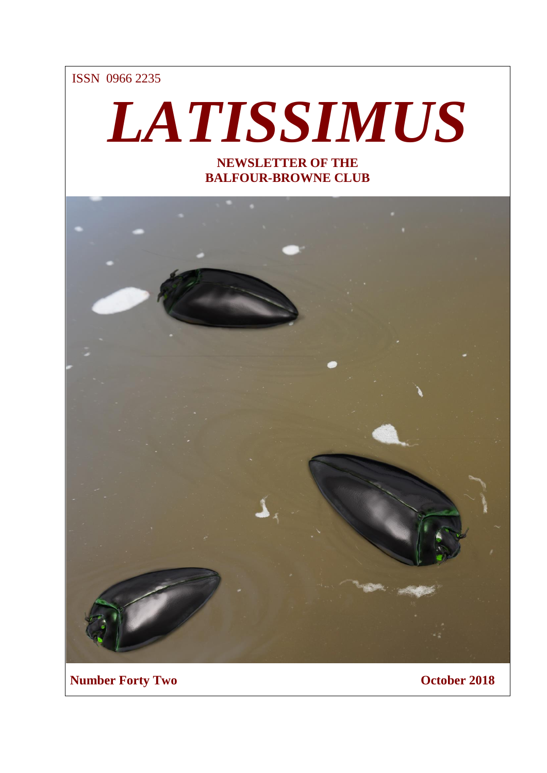ISSN 0966 2235

# *LATISSIMUS*

**NEWSLETTER OF THE BALFOUR-BROWNE CLUB**



**Number Forty Two Corollaction Controllation Corollaction Corollaction Corollaction Corollaction Corollaction Corollaction Corollaction Corollaction Corollaction Corollaction Corollaction Corollaction Corollaction Corollac**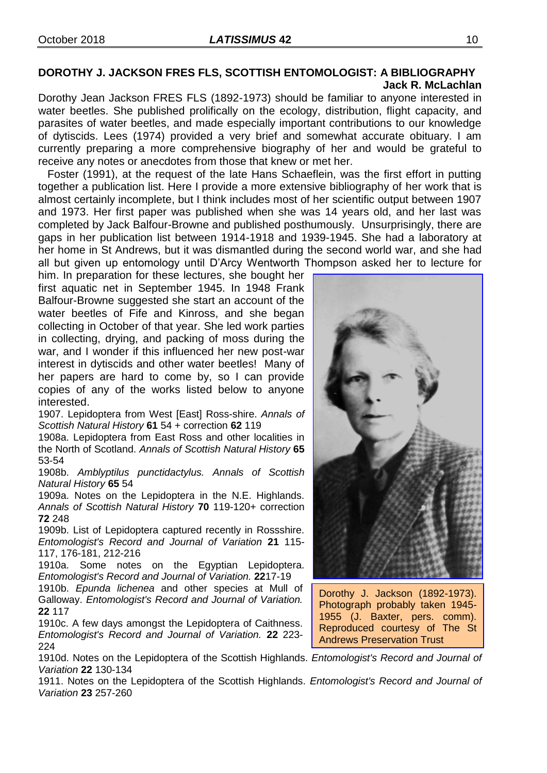### **DOROTHY J. JACKSON FRES FLS, SCOTTISH ENTOMOLOGIST: A BIBLIOGRAPHY Jack R. McLachlan**

Dorothy Jean Jackson FRES FLS (1892-1973) should be familiar to anyone interested in water beetles. She published prolifically on the ecology, distribution, flight capacity, and parasites of water beetles, and made especially important contributions to our knowledge of dytiscids. Lees (1974) provided a very brief and somewhat accurate obituary. I am currently preparing a more comprehensive biography of her and would be grateful to receive any notes or anecdotes from those that knew or met her.

 Foster (1991), at the request of the late Hans Schaeflein, was the first effort in putting together a publication list. Here I provide a more extensive bibliography of her work that is almost certainly incomplete, but I think includes most of her scientific output between 1907 and 1973. Her first paper was published when she was 14 years old, and her last was completed by Jack Balfour-Browne and published posthumously. Unsurprisingly, there are gaps in her publication list between 1914-1918 and 1939-1945. She had a laboratory at her home in St Andrews, but it was dismantled during the second world war, and she had all but given up entomology until D'Arcy Wentworth Thompson asked her to lecture for

him. In preparation for these lectures, she bought her first aquatic net in September 1945. In 1948 Frank Balfour-Browne suggested she start an account of the water beetles of Fife and Kinross, and she began collecting in October of that year. She led work parties in collecting, drying, and packing of moss during the war, and I wonder if this influenced her new post-war interest in dytiscids and other water beetles! Many of her papers are hard to come by, so I can provide copies of any of the works listed below to anyone interested.

1907. Lepidoptera from West [East] Ross-shire. *Annals of Scottish Natural History* **61** 54 + correction **62** 119

1908a. Lepidoptera from East Ross and other localities in the North of Scotland. *Annals of Scottish Natural History* **65** 53-54

1908b. *Amblyptilus punctidactylus. Annals of Scottish Natural History* **65** 54

1909a. Notes on the Lepidoptera in the N.E. Highlands. *Annals of Scottish Natural History* **70** 119-120+ correction **72** 248

1909b. List of Lepidoptera captured recently in Rossshire. *Entomologist's Record and Journal of Variation* **21** 115- 117, 176-181, 212-216

1910a. Some notes on the Egyptian Lepidoptera. *Entomologist's Record and Journal of Variation.* **22**17-19

1910b. *Epunda lichenea* and other species at Mull of Galloway. *Entomologist's Record and Journal of Variation.* **22** 117

1910c. A few days amongst the Lepidoptera of Caithness. *Entomologist's Record and Journal of Variation.* **22** 223- 224

1910d. Notes on the Lepidoptera of the Scottish Highlands. *Entomologist's Record and Journal of Variation* **22** 130-134

1911. Notes on the Lepidoptera of the Scottish Highlands. *Entomologist's Record and Journal of Variation* **23** 257-260



Dorothy J. Jackson (1892-1973). Photograph probably taken 1945- 1955 (J. Baxter, pers. comm). Reproduced courtesy of The St Andrews Preservation Trust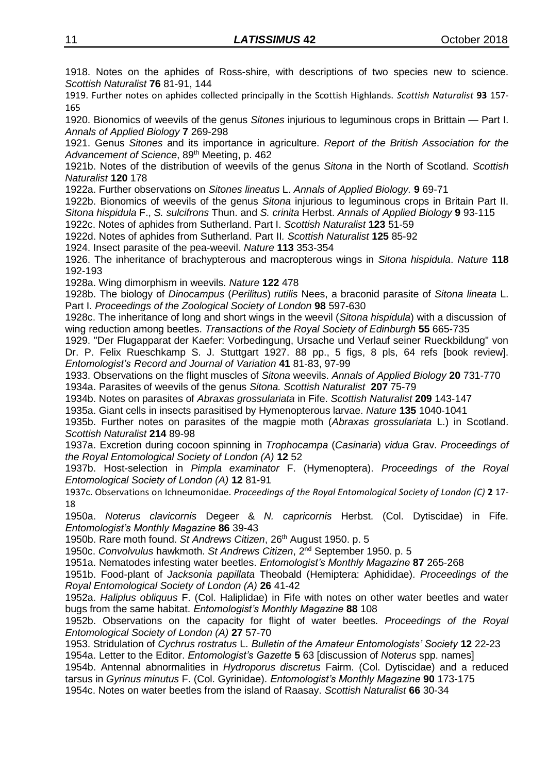1918. Notes on the aphides of Ross-shire, with descriptions of two species new to science. *Scottish Naturalist* **76** 81-91, 144

1919. Further notes on aphides collected principally in the Scottish Highlands. *Scottish Naturalist* **93** 157- 165

1920. Bionomics of weevils of the genus *Sitones* injurious to leguminous crops in Brittain — Part I. *Annals of Applied Biology* **7** 269-298

1921. Genus *Sitones* and its importance in agriculture. *Report of the British Association for the*  Advancement of Science, 89<sup>th</sup> Meeting, p. 462

1921b. Notes of the distribution of weevils of the genus *Sitona* in the North of Scotland. *Scottish Naturalist* **120** 178

1922a. Further observations on *Sitones lineatus* L. *Annals of Applied Biology.* **9** 69-71

1922b. Bionomics of weevils of the genus *Sitona* injurious to leguminous crops in Britain Part II. *Sitona hispidula* F., *S. sulcifrons* Thun. and *S. crinita* Herbst. *Annals of Applied Biology* **9** 93-115

1922c. Notes of aphides from Sutherland. Part I. *Scottish Naturalist* **123** 51-59

1922d. Notes of aphides from Sutherland. Part II*. Scottish Naturalist* **125** 85-92

1924. Insect parasite of the pea-weevil. *Nature* **113** 353-354

1926. The inheritance of brachypterous and macropterous wings in *Sitona hispidula*. *Nature* **118** 192-193

1928a. Wing dimorphism in weevils. *Nature* **122** 478

1928b. The biology of *Dinocampus* (*Perilitus*) *rutilis* Nees, a braconid parasite of *Sitona lineata* L. Part I. *Proceedings of the Zoological Society of London* **98** 597-630

1928c. The inheritance of long and short wings in the weevil (*Sitona hispidula*) with a discussion of wing reduction among beetles. *Transactions of the Royal Society of Edinburgh* **55** 665-735

1929. "Der Flugapparat der Kaefer: Vorbedingung, Ursache und Verlauf seiner Rueckbildung" von Dr. P. Felix Rueschkamp S. J. Stuttgart 1927. 88 pp., 5 figs, 8 pls, 64 refs [book review]. *Entomologist's Record and Journal of Variation* **41** 81-83, 97-99

1933. Observations on the flight muscles of *Sitona* weevils. *Annals of Applied Biology* **20** 731-770 1934a. Parasites of weevils of the genus *Sitona. Scottish Naturalist* **207** 75-79

1934b. Notes on parasites of *Abraxas grossulariata* in Fife. *Scottish Naturalist* **209** 143-147

1935a. Giant cells in insects parasitised by Hymenopterous larvae. *Nature* **135** 1040-1041

1935b. Further notes on parasites of the magpie moth (*Abraxas grossulariata* L.) in Scotland. *Scottish Naturalist* **214** 89-98

1937a. Excretion during cocoon spinning in *Trophocampa* (*Casinaria*) *vidua* Grav. *Proceedings of the Royal Entomological Society of London (A)* **12** 52

1937b. Host-selection in *Pimpla examinator* F. (Hymenoptera). *Proceedings of the Royal Entomological Society of London (A)* **12** 81-91

1937c. Observations on Ichneumonidae. *Proceedings of the Royal Entomological Society of London (C)* **2** 17- 18

1950a. *Noterus clavicornis* Degeer & *N. capricornis* Herbst. (Col. Dytiscidae) in Fife. *Entomologist's Monthly Magazine* **86** 39-43

1950b. Rare moth found. *St Andrews Citizen*, 26th August 1950. p. 5

1950c. *Convolvulus* hawkmoth. *St Andrews Citizen*, 2nd September 1950. p. 5

1951a. Nematodes infesting water beetles. *Entomologist's Monthly Magazine* **87** 265-268

1951b. Food-plant of *Jacksonia papillata* Theobald (Hemiptera: Aphididae). *Proceedings of the Royal Entomological Society of London (A)* **26** 41-42

1952a. *Haliplus obliquus* F. (Col. Haliplidae) in Fife with notes on other water beetles and water bugs from the same habitat. *Entomologist's Monthly Magazine* **88** 108

1952b. Observations on the capacity for flight of water beetles. *Proceedings of the Royal Entomological Society of London (A)* **27** 57-70

1953. Stridulation of *Cychrus rostratus* L. *Bulletin of the Amateur Entomologists' Society* **12** 22-23 1954a. Letter to the Editor. *Entomologist's Gazette* **5** 63 [discussion of *Noterus* spp. names]

1954b. Antennal abnormalities in *Hydroporus discretus* Fairm. (Col. Dytiscidae) and a reduced tarsus in *Gyrinus minutus* F. (Col. Gyrinidae). *Entomologist's Monthly Magazine* **90** 173-175 1954c. Notes on water beetles from the island of Raasay. *Scottish Naturalist* **66** 30-34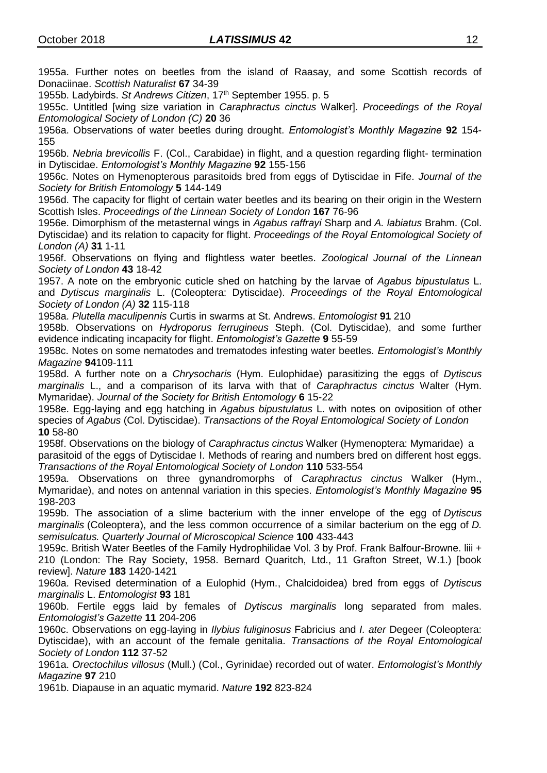1955a. Further notes on beetles from the island of Raasay, and some Scottish records of Donaciinae. *Scottish Naturalist* **67** 34-39

1955b. Ladybirds. *St Andrews Citizen*, 17th September 1955. p. 5

1955c. Untitled [wing size variation in *Caraphractus cinctus* Walker]. *Proceedings of the Royal Entomological Society of London (C)* **20** 36

1956a. Observations of water beetles during drought. *Entomologist's Monthly Magazine* **92** 154- 155

1956b. *Nebria brevicollis* F. (Col., Carabidae) in flight, and a question regarding flight- termination in Dytiscidae. *Entomologist's Monthly Magazine* **92** 155-156

1956c. Notes on Hymenopterous parasitoids bred from eggs of Dytiscidae in Fife. *Journal of the Society for British Entomology* **5** 144-149

1956d. The capacity for flight of certain water beetles and its bearing on their origin in the Western Scottish Isles. *Proceedings of the Linnean Society of London* **167** 76-96

1956e. Dimorphism of the metasternal wings in *Agabus raffrayi* Sharp and *A. labiatus* Brahm. (Col. Dytiscidae) and its relation to capacity for flight. *Proceedings of the Royal Entomological Society of London (A)* **31** 1-11

1956f. Observations on flying and flightless water beetles. *Zoological Journal of the Linnean Society of London* **43** 18-42

1957. A note on the embryonic cuticle shed on hatching by the larvae of *Agabus bipustulatus* L. and *Dytiscus marginalis* L. (Coleoptera: Dytiscidae). *Proceedings of the Royal Entomological Society of London (A)* **32** 115-118

1958a. *Plutella maculipennis* Curtis in swarms at St. Andrews. *Entomologist* **91** 210

1958b. Observations on *Hydroporus ferrugineus* Steph. (Col. Dytiscidae), and some further evidence indicating incapacity for flight. *Entomologist's Gazette* **9** 55-59

1958c. Notes on some nematodes and trematodes infesting water beetles. *Entomologist's Monthly Magazine* **94**109-111

1958d. A further note on a *Chrysocharis* (Hym. Eulophidae) parasitizing the eggs of *Dytiscus marginalis* L., and a comparison of its larva with that of *Caraphractus cinctus* Walter (Hym. Mymaridae). *Journal of the Society for British Entomology* **6** 15-22

1958e. Egg-laying and egg hatching in *Agabus bipustulatus* L. with notes on oviposition of other species of *Agabus* (Col. Dytiscidae). *Transactions of the Royal Entomological Society of London* **10** 58-80

1958f. Observations on the biology of *Caraphractus cinctus* Walker (Hymenoptera: Mymaridae) a parasitoid of the eggs of Dytiscidae I. Methods of rearing and numbers bred on different host eggs. *Transactions of the Royal Entomological Society of London* **110** 533-554

1959a. Observations on three gynandromorphs of *Caraphractus cinctus* Walker (Hym., Mymaridae), and notes on antennal variation in this species. *Entomologist's Monthly Magazine* **95** 198-203

1959b. The association of a slime bacterium with the inner envelope of the egg of *Dytiscus marginalis* (Coleoptera), and the less common occurrence of a similar bacterium on the egg of *D. semisulcatus. Quarterly Journal of Microscopical Science* **100** 433-443

1959c. British Water Beetles of the Family Hydrophilidae Vol. 3 by Prof. Frank Balfour-Browne. liii + 210 (London: The Ray Society, 1958. Bernard Quaritch, Ltd., 11 Grafton Street, W.1.) [book review]. *Nature* **183** 1420-1421

1960a. Revised determination of a Eulophid (Hym., Chalcidoidea) bred from eggs of *Dytiscus marginalis* L. *Entomologist* **93** 181

1960b. Fertile eggs laid by females of *Dytiscus marginalis* long separated from males. *Entomologist's Gazette* **11** 204-206

1960c. Observations on egg-laying in *Ilybius fuliginosus* Fabricius and *I. ater* Degeer (Coleoptera: Dytiscidae), with an account of the female genitalia. *Transactions of the Royal Entomological Society of London* **112** 37-52

1961a. *Orectochilus villosus* (Mull.) (Col., Gyrinidae) recorded out of water. *Entomologist's Monthly Magazine* **97** 210

1961b. Diapause in an aquatic mymarid. *Nature* **192** 823-824